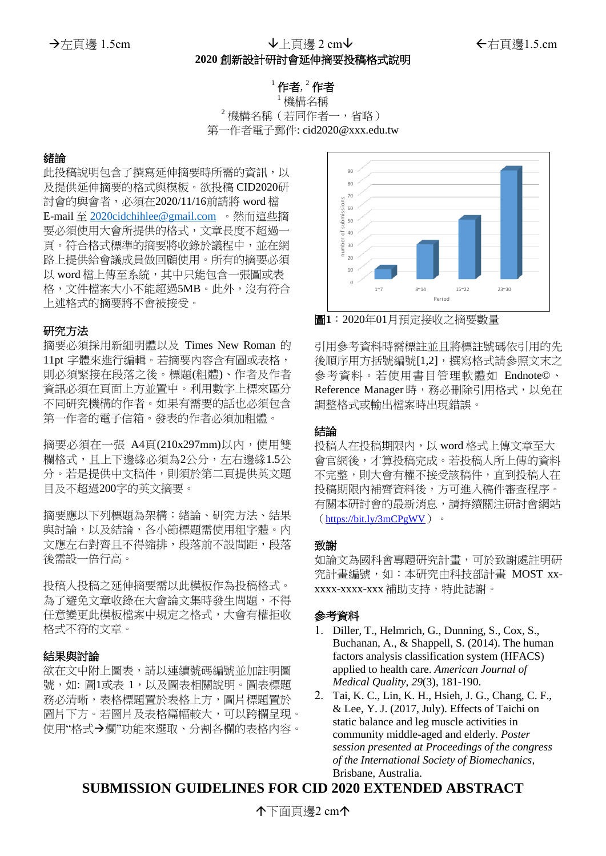# →左頁邊 1.5cm → L頁邊 2 cm → Louis → Louis → Louis → Louis → Louis → Louis → Louis → Louis → Louis → Louis → Louis

## **2020** 創新設計研討會延伸摘要投稿格式說明

### $^{\rm 1}$ 作者, $^{\rm 2}$ 作者

<sup>1</sup> 機構名稱  $^2$ 機構名稱(若同作者一,省略) 第一作者電子郵件: cid2020@xxx.edu.tw

#### 緒論

此投稿說明包含了撰寫延伸摘要時所需的資訊,以 及提供延伸摘要的格式與模板。欲投稿 CID2020研 討會的與會者,必須在2020/11/16前請將 word 檔 E-mail 至 [2020cidchihlee@gmail.com](mailto:2020cidchihlee@gmail.com) 。然而這些摘 要必須使用大會所提供的格式,文章長度不超過一 頁。符合格式標準的摘要將收錄於議程中,並在網 路上提供給會議成員做回顧使用。所有的摘要必須 以 word 檔上傳至系統, 其中只能包含一張圖或表 格,文件檔案大小不能超過5MB。此外,沒有符合 上述格式的摘要將不會被接受。

#### 研究方法

摘要必須採用新細明體以及 Times New Roman 的 11pt 字體來進行編輯。若摘要內容含有圖或表格, 則必須緊接在段落之後。標題(粗體)、作者及作者 資訊必須在頁面上方並置中。利用數字上標來區分 不同研究機構的作者。如果有需要的話也必須包含 第一作者的電子信箱。發表的作者必須加粗體。

摘要必須在一張 A4頁(210x297mm)以內,使用雙 欄格式,且上下邊緣必須為2公分,左右邊緣1.5公 分。若是提供中文稿件,則須於第二頁提供英文題 目及不超過200字的英文摘要。

摘要應以下列標題為架構:緒論、研究方法、結果 與討論,以及結論,各小節標題需使用粗字體。內 文應左右對齊且不得縮排,段落前不設間距,段落 後需設一倍行高。

投稿人投稿之延伸摘要需以此模板作為投稿格式。 為了避免文章收錄在大會論文集時發生問題,不得 任意變更此模板檔案中規定之格式,大會有權拒收 格式不符的文章。

#### 結果與討論

欲在文中附上圖表,請以連續號碼編號並加註明圖 號,如:圖1或表 1,以及圖表相關說明。圖表標題 務必清晰,表格標題置於表格上方,圖片標題置於 圖片下方。若圖片及表格篇幅較大,可以跨欄呈現。 使用"格式→欄"功能來選取、分割各欄的表格內容。



圖**1**:2020年01月預定接收之摘要數量

引用參考資料時需標註並且將標註號碼依引用的先 後順序用方括號編號[1,2],撰寫格式請參照文末之 參考資料。若使用書目管理軟體如 Endnote© 、 Reference Manager 時,務必刪除引用格式,以免在 調整格式或輸出檔案時出現錯誤。

#### 結論

投稿人在投稿期限内, 以 word 格式上傳文章至大 會官網後,才算投稿完成。若投稿人所上傳的資料 不完整,則大會有權不接受該稿件,直到投稿人在 投稿期限內補齊資料後,方可進入稿件審查程序。 有關本研討會的最新消息,請持續關注研討會網站 (<https://bit.ly/3mCPgWV>)。

#### 致謝

如論文為國科會專題研究計畫,可於致謝處註明研 究計畫編號,如:本研究由科技部計畫 MOST xxxxxx-xxxx-xxx 補助支持,特此誌謝。

#### 參考資料

- 1. Diller, T., Helmrich, G., Dunning, S., Cox, S., Buchanan, A., & Shappell, S. (2014). The human factors analysis classification system (HFACS) applied to health care. *American Journal of Medical Quality*, *29*(3), 181-190.
- 2. Tai, K. C., Lin, K. H., Hsieh, J. G., Chang, C. F., & Lee, Y. J. (2017, July). Effects of Taichi on static balance and leg muscle activities in community middle-aged and elderly. *Poster session presented at Proceedings of the congress of the International Society of Biomechanics*, Brisbane, Australia.

## **SUBMISSION GUIDELINES FOR CID 2020 EXTENDED ABSTRACT**